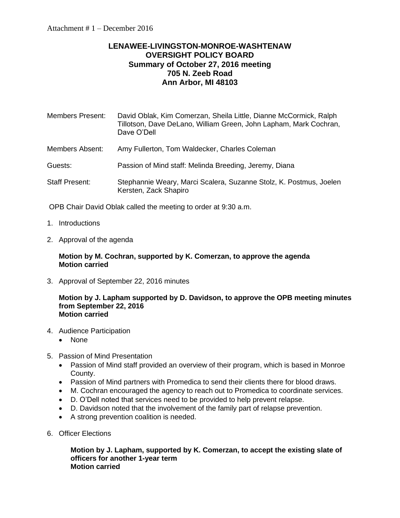# **LENAWEE-LIVINGSTON-MONROE-WASHTENAW OVERSIGHT POLICY BOARD Summary of October 27, 2016 meeting 705 N. Zeeb Road Ann Arbor, MI 48103**

| Members Present: | David Oblak, Kim Comerzan, Sheila Little, Dianne McCormick, Ralph<br>Tillotson, Dave DeLano, William Green, John Lapham, Mark Cochran,<br>Dave O'Dell |
|------------------|-------------------------------------------------------------------------------------------------------------------------------------------------------|
| Members Absent:  | Amy Fullerton, Tom Waldecker, Charles Coleman                                                                                                         |
| Guests:          | Passion of Mind staff: Melinda Breeding, Jeremy, Diana                                                                                                |
| Staff Present:   | Stephannie Weary, Marci Scalera, Suzanne Stolz, K. Postmus, Joelen<br>Kersten, Zack Shapiro                                                           |

OPB Chair David Oblak called the meeting to order at 9:30 a.m.

- 1. Introductions
- 2. Approval of the agenda

#### **Motion by M. Cochran, supported by K. Comerzan, to approve the agenda Motion carried**

3. Approval of September 22, 2016 minutes

#### **Motion by J. Lapham supported by D. Davidson, to approve the OPB meeting minutes from September 22, 2016 Motion carried**

- 4. Audience Participation
	- None
- 5. Passion of Mind Presentation
	- Passion of Mind staff provided an overview of their program, which is based in Monroe County.
	- Passion of Mind partners with Promedica to send their clients there for blood draws.
	- M. Cochran encouraged the agency to reach out to Promedica to coordinate services.
	- D. O'Dell noted that services need to be provided to help prevent relapse.
	- D. Davidson noted that the involvement of the family part of relapse prevention.
	- A strong prevention coalition is needed.
- 6. Officer Elections

**Motion by J. Lapham, supported by K. Comerzan, to accept the existing slate of officers for another 1-year term Motion carried**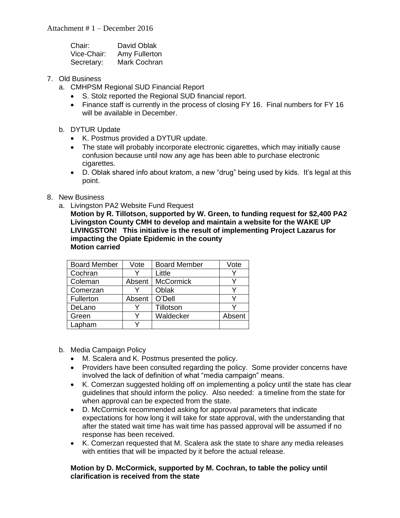| Chair:      | David Oblak   |
|-------------|---------------|
| Vice-Chair: | Amy Fullerton |
| Secretary:  | Mark Cochran  |

- 7. Old Business
	- a. CMHPSM Regional SUD Financial Report
		- S. Stolz reported the Regional SUD financial report.
		- Finance staff is currently in the process of closing FY 16. Final numbers for FY 16 will be available in December.
	- b. DYTUR Update
		- K. Postmus provided a DYTUR update.
		- The state will probably incorporate electronic cigarettes, which may initially cause confusion because until now any age has been able to purchase electronic cigarettes.
		- D. Oblak shared info about kratom, a new "drug" being used by kids. It's legal at this point.
- 8. New Business
	- a. Livingston PA2 Website Fund Request

**Motion by R. Tillotson, supported by W. Green, to funding request for \$2,400 PA2 Livingston County CMH to develop and maintain a website for the WAKE UP LIVINGSTON! This initiative is the result of implementing Project Lazarus for impacting the Opiate Epidemic in the county Motion carried**

| <b>Board Member</b> | Vote   | <b>Board Member</b> | Vote   |
|---------------------|--------|---------------------|--------|
| Cochran             |        | Little              |        |
| Coleman             | Absent | <b>McCormick</b>    |        |
| Comerzan            |        | Oblak               |        |
| Fullerton           | Absent | O'Dell              |        |
| DeLano              |        | Tillotson           |        |
| Green               |        | Waldecker           | Absent |
| Lapham              |        |                     |        |

- b. Media Campaign Policy
	- M. Scalera and K. Postmus presented the policy.
	- Providers have been consulted regarding the policy. Some provider concerns have involved the lack of definition of what "media campaign" means.
	- K. Comerzan suggested holding off on implementing a policy until the state has clear guidelines that should inform the policy. Also needed: a timeline from the state for when approval can be expected from the state.
	- D. McCormick recommended asking for approval parameters that indicate expectations for how long it will take for state approval, with the understanding that after the stated wait time has wait time has passed approval will be assumed if no response has been received.
	- K. Comerzan requested that M. Scalera ask the state to share any media releases with entities that will be impacted by it before the actual release.

#### **Motion by D. McCormick, supported by M. Cochran, to table the policy until clarification is received from the state**